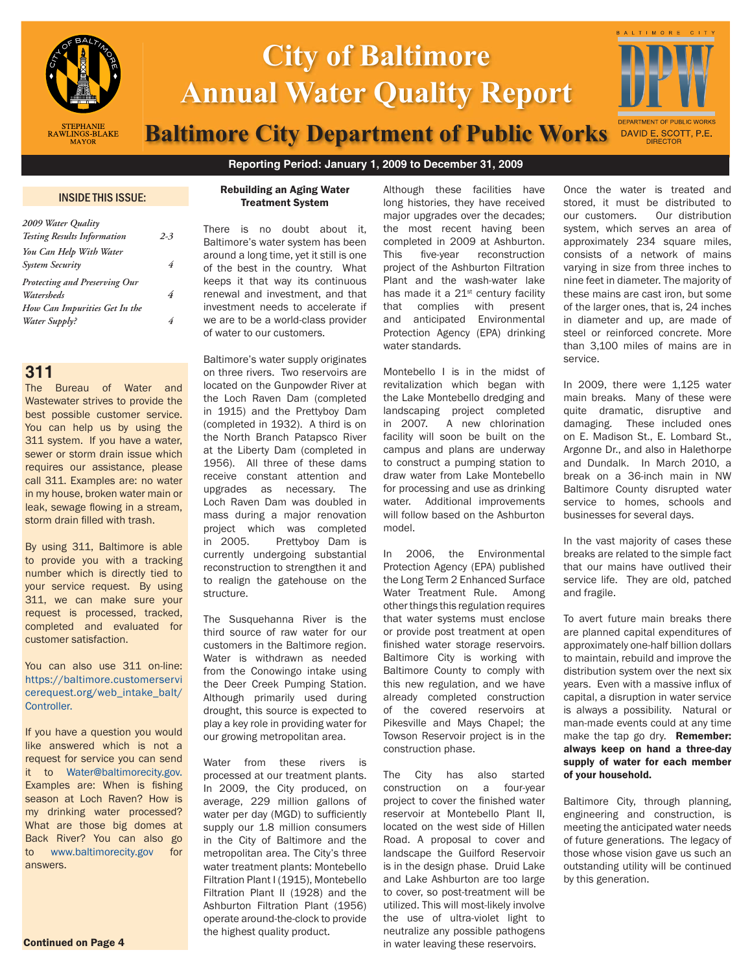

# **City of Baltimore Annual Water Quality Report**

**Baltimore City Department of Public Works** DAVID E. SCOTT, P.E.

# **Reporting Period: January 1, 2009 to December 31, 2009**

## INSIDE THIS ISSUE:

| 2009 Water Quality                 |         |
|------------------------------------|---------|
| <b>Testing Results Information</b> | $2 - 3$ |
| You Can Help With Water            |         |
| <b>System Security</b>             | 4       |
| Protecting and Preserving Our      |         |
| Watersheds                         | 4       |
| How Can Impurities Get In the      |         |
| Water Supply?                      | 4       |
|                                    |         |

# **311**

The Bureau of Water and Wastewater strives to provide the best possible customer service. You can help us by using the 311 system. If you have a water, sewer or storm drain issue which requires our assistance, please call 311. Examples are: no water in my house, broken water main or leak, sewage flowing in a stream, storm drain filled with trash.

By using 311, Baltimore is able to provide you with a tracking number which is directly tied to your service request. By using 311, we can make sure your request is processed, tracked, completed and evaluated for customer satisfaction.

You can also use 311 on-line: https://baltimore.customerservi cerequest.org/web\_intake\_balt/ Controller.

If you have a question you would like answered which is not a request for service you can send it to Water@baltimorecity.gov. Examples are: When is fishing season at Loch Raven? How is my drinking water processed? What are those big domes at Back River? You can also go to www.baltimorecity.gov for answers.

# Rebuilding an Aging Water Treatment System

There is no doubt about it, Baltimore's water system has been around a long time, yet it still is one of the best in the country. What keeps it that way its continuous renewal and investment, and that investment needs to accelerate if we are to be a world-class provider of water to our customers.

Baltimore's water supply originates on three rivers. Two reservoirs are located on the Gunpowder River at the Loch Raven Dam (completed in 1915) and the Prettyboy Dam (completed in 1932). A third is on the North Branch Patapsco River at the Liberty Dam (completed in 1956). All three of these dams receive constant attention and upgrades as necessary. The Loch Raven Dam was doubled in mass during a major renovation project which was completed in 2005. Prettyboy Dam is currently undergoing substantial reconstruction to strengthen it and to realign the gatehouse on the structure.

The Susquehanna River is the third source of raw water for our customers in the Baltimore region. Water is withdrawn as needed from the Conowingo intake using the Deer Creek Pumping Station. Although primarily used during drought, this source is expected to play a key role in providing water for our growing metropolitan area.

Water from these rivers is processed at our treatment plants. In 2009, the City produced, on average, 229 million gallons of water per day (MGD) to sufficiently supply our 1.8 million consumers in the City of Baltimore and the metropolitan area. The City's three water treatment plants: Montebello Filtration Plant I (1915), Montebello Filtration Plant II (1928) and the Ashburton Filtration Plant (1956) operate around-the-clock to provide the highest quality product.

Although these facilities have long histories, they have received major upgrades over the decades; the most recent having been completed in 2009 at Ashburton. This five-year reconstruction project of the Ashburton Filtration Plant and the wash-water lake has made it a  $21<sup>st</sup>$  century facility that complies with present and anticipated Environmental Protection Agency (EPA) drinking water standards.

Montebello I is in the midst of revitalization which began with the Lake Montebello dredging and landscaping project completed in 2007. A new chlorination facility will soon be built on the campus and plans are underway to construct a pumping station to draw water from Lake Montebello for processing and use as drinking water. Additional improvements will follow based on the Ashburton model.

In 2006, the Environmental Protection Agency (EPA) published the Long Term 2 Enhanced Surface Water Treatment Rule. Among other things this regulation requires that water systems must enclose or provide post treatment at open finished water storage reservoirs. Baltimore City is working with Baltimore County to comply with this new regulation, and we have already completed construction of the covered reservoirs at Pikesville and Mays Chapel; the Towson Reservoir project is in the construction phase.

The City has also started construction on a four-year project to cover the finished water reservoir at Montebello Plant II, located on the west side of Hillen Road. A proposal to cover and landscape the Guilford Reservoir is in the design phase. Druid Lake and Lake Ashburton are too large to cover, so post-treatment will be utilized. This will most-likely involve the use of ultra-violet light to neutralize any possible pathogens in water leaving these reservoirs.

Once the water is treated and stored, it must be distributed to our customers. Our distribution system, which serves an area of approximately 234 square miles, consists of a network of mains varying in size from three inches to nine feet in diameter. The majority of these mains are cast iron, but some of the larger ones, that is, 24 inches in diameter and up, are made of steel or reinforced concrete. More than 3,100 miles of mains are in service.

BALTIMORE CITY

**DEPARTMENT OF PUBLIC WORKS** 

In 2009, there were 1,125 water main breaks. Many of these were quite dramatic, disruptive and damaging. These included ones on E. Madison St., E. Lombard St., Argonne Dr., and also in Halethorpe and Dundalk. In March 2010, a break on a 36-inch main in NW Baltimore County disrupted water service to homes, schools and businesses for several days.

In the vast majority of cases these breaks are related to the simple fact that our mains have outlived their service life. They are old, patched and fragile.

To avert future main breaks there are planned capital expenditures of approximately one-half billion dollars to maintain, rebuild and improve the distribution system over the next six years. Even with a massive influx of capital, a disruption in water service is always a possibility. Natural or man-made events could at any time make the tap go dry. **Remember:** always keep on hand a three-day supply of water for each member of your household.

Baltimore City, through planning, engineering and construction, is meeting the anticipated water needs of future generations. The legacy of those whose vision gave us such an outstanding utility will be continued by this generation.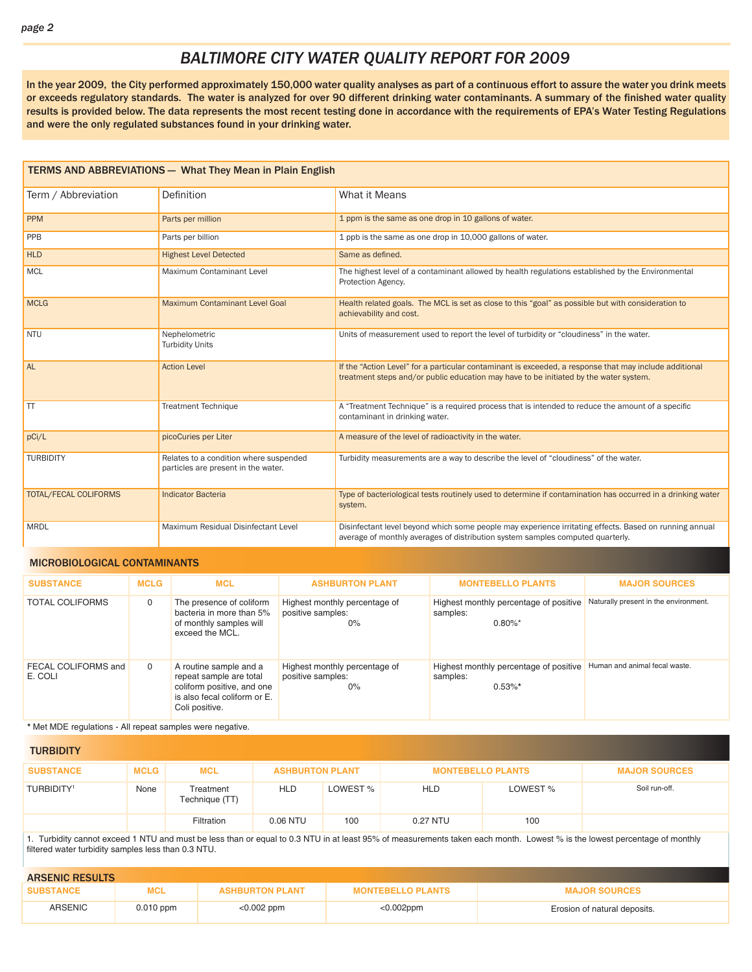# *BALTIMORE CITY WATER QUALITY REPORT FOR 2009*

In the year 2009, the City performed approximately 150,000 water quality analyses as part of a continuous effort to assure the water you drink meets or exceeds regulatory standards. The water is analyzed for over 90 different drinking water contaminants. A summary of the finished water quality results is provided below. The data represents the most recent testing done in accordance with the requirements of EPA's Water Testing Regulations and were the only regulated substances found in your drinking water.

|                       | <b>TERMS AND ABBREVIATIONS - What They Mean in Plain English</b>              |                                                                                                                                                                                                 |
|-----------------------|-------------------------------------------------------------------------------|-------------------------------------------------------------------------------------------------------------------------------------------------------------------------------------------------|
| Term / Abbreviation   | Definition                                                                    | What it Means                                                                                                                                                                                   |
| <b>PPM</b>            | Parts per million                                                             | 1 ppm is the same as one drop in 10 gallons of water.                                                                                                                                           |
| PPB                   | Parts per billion                                                             | 1 ppb is the same as one drop in 10,000 gallons of water.                                                                                                                                       |
| <b>HLD</b>            | <b>Highest Level Detected</b>                                                 | Same as defined.                                                                                                                                                                                |
| <b>MCL</b>            | Maximum Contaminant Level                                                     | The highest level of a contaminant allowed by health regulations established by the Environmental<br>Protection Agency.                                                                         |
| <b>MCLG</b>           | <b>Maximum Contaminant Level Goal</b>                                         | Health related goals. The MCL is set as close to this "goal" as possible but with consideration to<br>achievability and cost.                                                                   |
| <b>NTU</b>            | Nephelometric<br><b>Turbidity Units</b>                                       | Units of measurement used to report the level of turbidity or "cloudiness" in the water.                                                                                                        |
| AL                    | <b>Action Level</b>                                                           | If the "Action Level" for a particular contaminant is exceeded, a response that may include additional<br>treatment steps and/or public education may have to be initiated by the water system. |
| <b>TT</b>             | <b>Treatment Technique</b>                                                    | A "Treatment Technique" is a required process that is intended to reduce the amount of a specific<br>contaminant in drinking water.                                                             |
| pCi/L                 | picoCuries per Liter                                                          | A measure of the level of radioactivity in the water.                                                                                                                                           |
| <b>TURBIDITY</b>      | Relates to a condition where suspended<br>particles are present in the water. | Turbidity measurements are a way to describe the level of "cloudiness" of the water.                                                                                                            |
| TOTAL/FECAL COLIFORMS | <b>Indicator Bacteria</b>                                                     | Type of bacteriological tests routinely used to determine if contamination has occurred in a drinking water<br>system.                                                                          |
| <b>MRDL</b>           | Maximum Residual Disinfectant Level                                           | Disinfectant level beyond which some people may experience irritating effects. Based on running annual<br>average of monthly averages of distribution system samples computed quarterly.        |

# MICROBIOLOGICAL CONTAMINANTS

| <b>SUBSTANCE</b>               | <b>MCLG</b> | <b>MCL</b>                                                                                                                        | <b>ASHBURTON PLANT</b>                                      | <b>MONTEBELLO PLANTS</b>                                                                         | <b>MAJOR SOURCES</b>                  |
|--------------------------------|-------------|-----------------------------------------------------------------------------------------------------------------------------------|-------------------------------------------------------------|--------------------------------------------------------------------------------------------------|---------------------------------------|
| <b>TOTAL COLIFORMS</b>         | 0           | The presence of coliform<br>bacteria in more than 5%<br>of monthly samples will<br>exceed the MCL.                                | Highest monthly percentage of<br>positive samples:<br>$0\%$ | Highest monthly percentage of positive<br>samples:<br>$0.80\%$ *                                 | Naturally present in the environment. |
| FECAL COLIFORMS and<br>E. COLI | $\Omega$    | A routine sample and a<br>repeat sample are total<br>coliform positive, and one<br>is also fecal coliform or E.<br>Coli positive. | Highest monthly percentage of<br>positive samples:<br>$0\%$ | Highest monthly percentage of positive   Human and animal fecal waste.<br>samples:<br>$0.53\%$ * |                                       |

**\*** Met MDE regulations - All repeat samples were negative.

| <b>TURBIDITY</b>       |             |                             |                                      |                      |          |               |  |
|------------------------|-------------|-----------------------------|--------------------------------------|----------------------|----------|---------------|--|
| <b>SUBSTANCE</b>       | <b>MCLG</b> | MCL                         | <b>ASHBURTON PLANT</b>               | <b>MAJOR SOURCES</b> |          |               |  |
| TURBIDITY <sup>1</sup> | None        | Treatment<br>Technique (TT) | LOWEST %<br><b>HLD</b><br><b>HLD</b> |                      | LOWEST % | Soil run-off. |  |
|                        |             | Filtration                  | 0.06 NTU                             | 100                  | 0.27 NTU | 100           |  |

1. Turbidity cannot exceed 1 NTU and must be less than or equal to 0.3 NTU in at least 95% of measurements taken each month. Lowest % is the lowest percentage of monthly filtered water turbidity samples less than 0.3 NTU.

| <b>ARSENIC RESULTS</b> |             |                        |                          |                              |
|------------------------|-------------|------------------------|--------------------------|------------------------------|
| <b>SUBSTANCE</b>       | MCL         | <b>ASHBURTON PLANT</b> | <b>MONTEBELLO PLANTS</b> | <b>MAJOR SOURCES</b>         |
| ARSENIC                | $0.010$ ppm | $< 0.002$ ppm          | $<$ 0.002ppm             | Erosion of natural deposits. |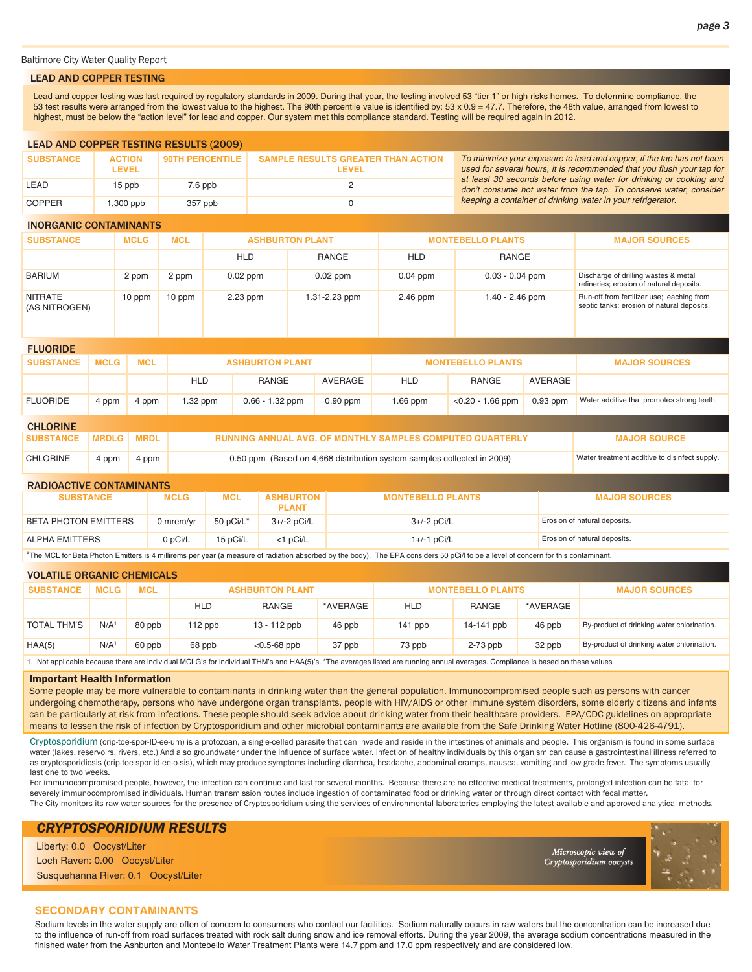Baltimore City Water Quality Report

#### LEAD AND COPPER TESTING

Lead and copper testing was last required by regulatory standards in 2009. During that year, the testing involved 53 "tier 1" or high risks homes. To determine compliance, the 53 test results were arranged from the lowest value to the highest. The 90th percentile value is identified by: 53 x 0.9 = 47.7. Therefore, the 48th value, arranged from lowest to highest, must be below the "action level" for lead and copper. Our system met this compliance standard. Testing will be required again in 2012.

| <b>LEAD AND COPPER TESTING RESULTS (2009)</b> |                               |                            |                                                    |                                                            |  |  |  |  |  |  |
|-----------------------------------------------|-------------------------------|----------------------------|----------------------------------------------------|------------------------------------------------------------|--|--|--|--|--|--|
| <b>SUBSTANCE</b>                              | <b>ACTION</b><br><b>LEVEL</b> | <b>I 90TH PERCENTILE I</b> | <b>SAMPLE RESULTS GREATER THAN ACTION</b><br>LEVEL | To minimize your exposure<br>used for several hours, it is |  |  |  |  |  |  |
| LEAD                                          | 15 ppb                        | $7.6$ ppb                  |                                                    | at least 30 seconds befor<br>dan't concume het weter       |  |  |  |  |  |  |

COPPER 1,300 ppb 357 ppb 0

*to lead and copper, if the tap has not been used for several hours, it is recommended that you fl ush your tap for at least 30 seconds before using water for drinking or cooking and don't consume hot water from the tap. To conserve water, consider keeping a container of drinking water in your refrigerator.*

| <b>INORGANIC CONTAMINANTS</b>   |             |            |                        |               |            |                          |                                                                                          |  |  |  |
|---------------------------------|-------------|------------|------------------------|---------------|------------|--------------------------|------------------------------------------------------------------------------------------|--|--|--|
| <b>SUBSTANCE</b>                | <b>MCLG</b> | <b>MCL</b> | <b>ASHBURTON PLANT</b> |               |            | <b>MONTEBELLO PLANTS</b> | <b>MAJOR SOURCES</b>                                                                     |  |  |  |
|                                 |             |            | <b>HLD</b>             | <b>RANGE</b>  | <b>HLD</b> | RANGE                    |                                                                                          |  |  |  |
| <b>BARIUM</b>                   | 2 ppm       | 2 ppm      | $0.02$ ppm             | $0.02$ ppm    | $0.04$ ppm | $0.03 - 0.04$ ppm        | Discharge of drilling wastes & metal<br>refineries; erosion of natural deposits.         |  |  |  |
| <b>NITRATE</b><br>(AS NITROGEN) | 10 ppm      | 10 ppm     | $2.23$ ppm             | 1.31-2.23 ppm | 2.46 ppm   | 1.40 - 2.46 ppm          | Run-off from fertilizer use; leaching from<br>septic tanks; erosion of natural deposits. |  |  |  |

| <b>FLUORIDE</b>  |              |             |                        |                                                                         |                                               |                          |                     |            |                                            |
|------------------|--------------|-------------|------------------------|-------------------------------------------------------------------------|-----------------------------------------------|--------------------------|---------------------|------------|--------------------------------------------|
| <b>SUBSTANCE</b> | <b>MCLG</b>  | <b>MCL</b>  | <b>ASHBURTON PLANT</b> |                                                                         |                                               | <b>MONTEBELLO PLANTS</b> |                     |            | <b>MAJOR SOURCES</b>                       |
|                  |              |             | <b>HLD</b>             | RANGE                                                                   | AVERAGE                                       | <b>HLD</b>               | RANGE               | AVERAGE    |                                            |
| <b>FLUORIDE</b>  | 4 ppm        | 4 ppm       | $1.32$ ppm             | $0.66 - 1.32$ ppm                                                       | $0.90$ ppm                                    | 1.66 ppm                 | $< 0.20 - 1.66$ ppm | $0.93$ ppm | Water additive that promotes strong teeth. |
| <b>CHLORINE</b>  |              |             |                        |                                                                         |                                               |                          |                     |            |                                            |
| <b>SUBSTANCE</b> | <b>MRDLG</b> | <b>MRDL</b> |                        | <b>RUNNING ANNUAL AVG. OF MONTHLY SAMPLES COMPUTED QUARTERLY</b>        | <b>MAJOR SOURCE</b>                           |                          |                     |            |                                            |
| <b>CHLORINE</b>  | 4 ppm        | 4 ppm       |                        | 0.50 ppm (Based on 4,668 distribution system samples collected in 2009) | Water treatment additive to disinfect supply. |                          |                     |            |                                            |

#### RADIOACTIVE CONTAMINANTS

| <b>SUBSTANCE</b>            | MCLG      | <b>MCL</b> | <b>ASHBURTON</b><br><b>PLANT</b> | <b>MONTEBELLO PLANTS</b> | <b>MAJOR SOURCES</b>         |
|-----------------------------|-----------|------------|----------------------------------|--------------------------|------------------------------|
| <b>BETA PHOTON EMITTERS</b> | 0 mrem/yr | 50 pCi/L*  | 3+/-2 pCi/L                      | $3+/-2$ pCi/L            | Erosion of natural deposits. |
| ALPHA EMITTERS              | 0 pCi/L   | 15 pCi/L   | $<$ 1 pCi/L                      | 1+/-1 pCi/L              | Erosion of natural deposits. |

\*The MCL for Beta Photon Emitters is 4 millirems per year (a measure of radiation absorbed by the body). The EPA considers 50 pCi/l to be a level of concern for this contaminant.

| <b>VOLATILE ORGANIC CHEMICALS</b> |                         |            |                        |                  |          |            |                          |                      |                                            |  |  |
|-----------------------------------|-------------------------|------------|------------------------|------------------|----------|------------|--------------------------|----------------------|--------------------------------------------|--|--|
| <b>SUBSTANCE</b>                  | <b>MCLG</b>             | <b>MCL</b> | <b>ASHBURTON PLANT</b> |                  |          |            | <b>MONTEBELLO PLANTS</b> | <b>MAJOR SOURCES</b> |                                            |  |  |
|                                   |                         |            | <b>HLD</b>             | RANGE            | *AVERAGE | <b>HLD</b> | RANGE                    | *AVERAGE             |                                            |  |  |
| <b>TOTAL THM'S</b>                | N/A                     | 80 ppb     | 112 ppb                | 13 - 112 ppb     | 46 ppb   | $141$ ppb  | 14-141 ppb               | 46 ppb               | By-product of drinking water chlorination. |  |  |
| HAA(5)                            | N/A                     | 60 ppb     | 68 ppb                 | $< 0.5 - 68$ ppb | 37 ppb   | 73 ppb     | $2-73$ ppb               | 32 ppb               | By-product of drinking water chlorination. |  |  |
| .                                 | $\cdots$<br>$\sim$<br>. |            |                        |                  |          |            |                          |                      |                                            |  |  |

1. Not applicable because there are individual MCLG's for individual THM's and HAA(5)'s. \*The averages listed are running annual averages. Compliance is based on these values.

#### Important Health Information

Some people may be more vulnerable to contaminants in drinking water than the general population. Immunocompromised people such as persons with cancer undergoing chemotherapy, persons who have undergone organ transplants, people with HIV/AIDS or other immune system disorders, some elderly citizens and infants can be particularly at risk from infections. These people should seek advice about drinking water from their healthcare providers. EPA/CDC guidelines on appropriate means to lessen the risk of infection by Cryptosporidium and other microbial contaminants are available from the Safe Drinking Water Hotline (800-426-4791).

Cryptosporidium (crip-toe-spor-ID-ee-um) is a protozoan, a single-celled parasite that can invade and reside in the intestines of animals and people. This organism is found in some surface water (lakes, reservoirs, rivers, etc.) And also groundwater under the influence of surface water. Infection of healthy individuals by this organism can cause a gastrointestinal illness referred to as cryptosporidiosis (crip-toe-spor-id-ee-o-sis), which may produce symptoms including diarrhea, headache, abdominal cramps, nausea, vomiting and low-grade fever. The symptoms usually last one to two weeks.

For immunocompromised people, however, the infection can continue and last for several months. Because there are no effective medical treatments, prolonged infection can be fatal for severely immunocompromised individuals. Human transmission routes include ingestion of contaminated food or drinking water or through direct contact with fecal matter. The City monitors its raw water sources for the presence of Cryptosporidium using the services of environmental laboratories employing the latest available and approved analytical methods.

# *CRYPTOSPORIDIUM RESULTS*

Liberty: 0.0 Oocyst/Liter Loch Raven: 0.00 Oocyst/Liter Susquehanna River: 0.1 Oocyst/Liter

Microscopic view of Cryptosporidium oocysts



# **SECONDARY CONTAMINANTS**

Sodium levels in the water supply are often of concern to consumers who contact our facilities. Sodium naturally occurs in raw waters but the concentration can be increased due to the influence of run-off from road surfaces treated with rock salt during snow and ice removal efforts. During the year 2009, the average sodium concentrations measured in the finished water from the Ashburton and Montebello Water Treatment Plants were 14.7 ppm and 17.0 ppm respectively and are considered low.